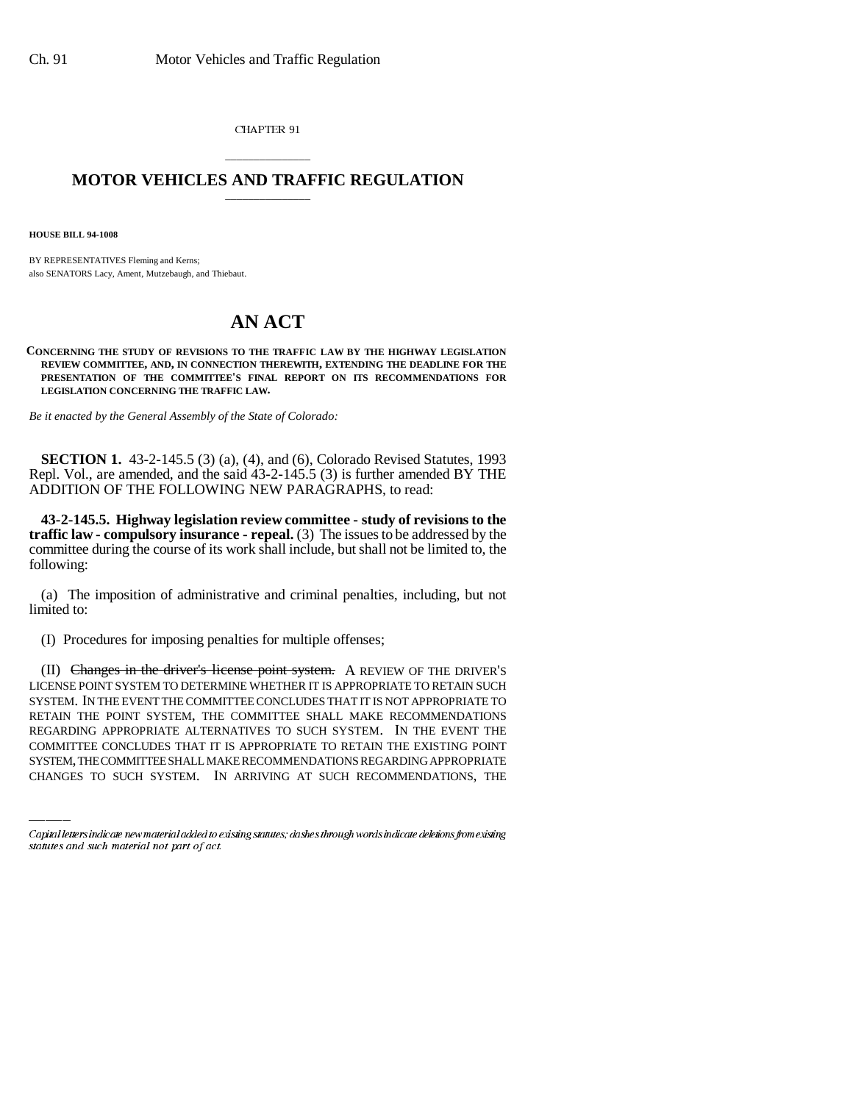CHAPTER 91

## \_\_\_\_\_\_\_\_\_\_\_\_\_\_\_ **MOTOR VEHICLES AND TRAFFIC REGULATION** \_\_\_\_\_\_\_\_\_\_\_\_\_\_\_

**HOUSE BILL 94-1008**

BY REPRESENTATIVES Fleming and Kerns; also SENATORS Lacy, Ament, Mutzebaugh, and Thiebaut.

## **AN ACT**

**CONCERNING THE STUDY OF REVISIONS TO THE TRAFFIC LAW BY THE HIGHWAY LEGISLATION REVIEW COMMITTEE, AND, IN CONNECTION THEREWITH, EXTENDING THE DEADLINE FOR THE PRESENTATION OF THE COMMITTEE'S FINAL REPORT ON ITS RECOMMENDATIONS FOR LEGISLATION CONCERNING THE TRAFFIC LAW.**

*Be it enacted by the General Assembly of the State of Colorado:*

**SECTION 1.** 43-2-145.5 (3) (a), (4), and (6), Colorado Revised Statutes, 1993 Repl. Vol., are amended, and the said 43-2-145.5 (3) is further amended BY THE ADDITION OF THE FOLLOWING NEW PARAGRAPHS, to read:

**43-2-145.5. Highway legislation review committee - study of revisions to the traffic law - compulsory insurance - repeal.** (3) The issues to be addressed by the committee during the course of its work shall include, but shall not be limited to, the following:

(a) The imposition of administrative and criminal penalties, including, but not limited to:

(I) Procedures for imposing penalties for multiple offenses;

RETAIN THE POINT SYSTEM, THE COMMITTEE SHALL MAKE RECOMMENDATIONS (II) Changes in the driver's license point system. A REVIEW OF THE DRIVER'S LICENSE POINT SYSTEM TO DETERMINE WHETHER IT IS APPROPRIATE TO RETAIN SUCH SYSTEM. IN THE EVENT THE COMMITTEE CONCLUDES THAT IT IS NOT APPROPRIATE TO REGARDING APPROPRIATE ALTERNATIVES TO SUCH SYSTEM. IN THE EVENT THE COMMITTEE CONCLUDES THAT IT IS APPROPRIATE TO RETAIN THE EXISTING POINT SYSTEM, THE COMMITTEE SHALL MAKE RECOMMENDATIONS REGARDING APPROPRIATE CHANGES TO SUCH SYSTEM. IN ARRIVING AT SUCH RECOMMENDATIONS, THE

Capital letters indicate new material added to existing statutes; dashes through words indicate deletions from existing statutes and such material not part of act.